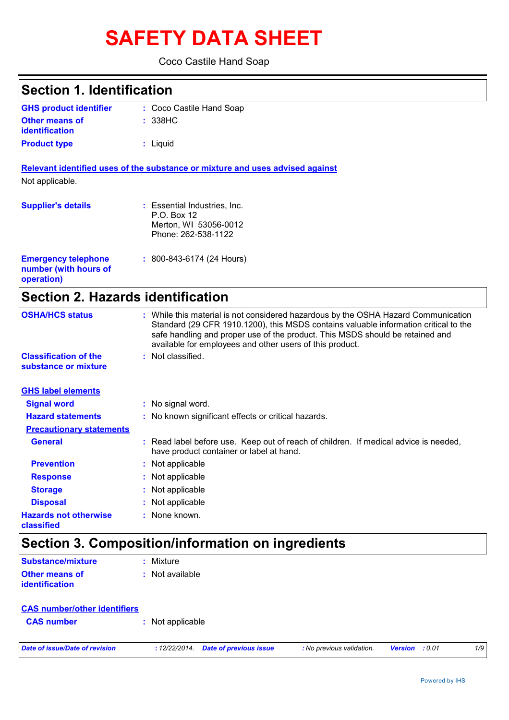# **SAFETY DATA SHEET**

### Coco Castile Hand Soap

| <b>Section 1. Identification</b><br>: Coco Castile Hand Soap<br>: 338HC                                                                                                                                                                                                                                                 |
|-------------------------------------------------------------------------------------------------------------------------------------------------------------------------------------------------------------------------------------------------------------------------------------------------------------------------|
|                                                                                                                                                                                                                                                                                                                         |
|                                                                                                                                                                                                                                                                                                                         |
|                                                                                                                                                                                                                                                                                                                         |
| : Liquid                                                                                                                                                                                                                                                                                                                |
| Relevant identified uses of the substance or mixture and uses advised against                                                                                                                                                                                                                                           |
|                                                                                                                                                                                                                                                                                                                         |
| : Essential Industries, Inc.<br>P.O. Box 12<br>Merton, WI 53056-0012<br>Phone: 262-538-1122                                                                                                                                                                                                                             |
| $: 800 - 843 - 6174$ (24 Hours)                                                                                                                                                                                                                                                                                         |
| <b>Section 2. Hazards identification</b>                                                                                                                                                                                                                                                                                |
| : While this material is not considered hazardous by the OSHA Hazard Communication<br>Standard (29 CFR 1910.1200), this MSDS contains valuable information critical to the<br>safe handling and proper use of the product. This MSDS should be retained and<br>available for employees and other users of this product. |
| : Not classified.                                                                                                                                                                                                                                                                                                       |
|                                                                                                                                                                                                                                                                                                                         |
| : No signal word.                                                                                                                                                                                                                                                                                                       |
| : No known significant effects or critical hazards.                                                                                                                                                                                                                                                                     |
|                                                                                                                                                                                                                                                                                                                         |
| : Read label before use. Keep out of reach of children. If medical advice is needed,<br>have product container or label at hand.                                                                                                                                                                                        |
| : Not applicable                                                                                                                                                                                                                                                                                                        |
| Not applicable                                                                                                                                                                                                                                                                                                          |
| : Not applicable                                                                                                                                                                                                                                                                                                        |
| Not applicable                                                                                                                                                                                                                                                                                                          |
| : None known.                                                                                                                                                                                                                                                                                                           |
|                                                                                                                                                                                                                                                                                                                         |

### **Section 3. Composition/information on ingredients**

| Substance/mixture                              | : Mixture         |
|------------------------------------------------|-------------------|
| <b>Other means of</b><br><b>identification</b> | $:$ Not available |
|                                                |                   |

| <b>CAS number/other identifiers</b> |                  |  |
|-------------------------------------|------------------|--|
| <b>CAS</b> number                   | : Not applicable |  |
|                                     |                  |  |

*Date of issue/Date of revision* **:** *12/22/2014. Date of previous issue : No previous validation. Version : 0.01 1/9*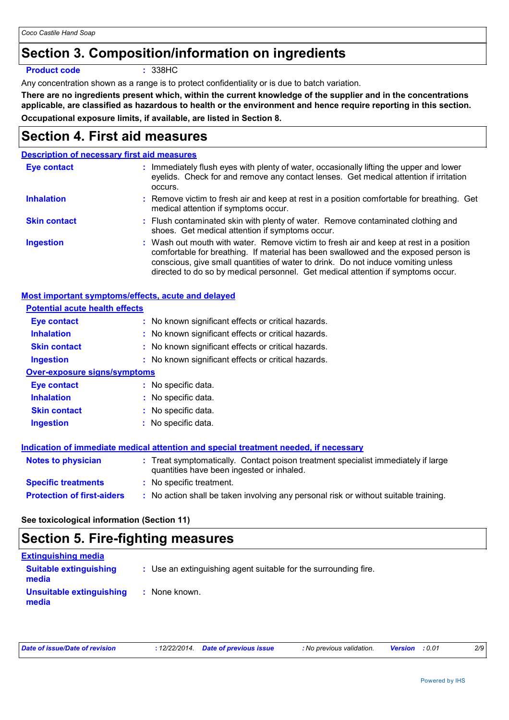## **Section 3. Composition/information on ingredients**

**Product code :** 338HC

Any concentration shown as a range is to protect confidentiality or is due to batch variation.

**There are no ingredients present which, within the current knowledge of the supplier and in the concentrations applicable, are classified as hazardous to health or the environment and hence require reporting in this section. Occupational exposure limits, if available, are listed in Section 8.**

## **Section 4. First aid measures**

### **Description of necessary first aid measures**

| Eye contact         | : Immediately flush eyes with plenty of water, occasionally lifting the upper and lower<br>eyelids. Check for and remove any contact lenses. Get medical attention if irritation<br>occurs.                                                                                                                                                            |
|---------------------|--------------------------------------------------------------------------------------------------------------------------------------------------------------------------------------------------------------------------------------------------------------------------------------------------------------------------------------------------------|
| <b>Inhalation</b>   | : Remove victim to fresh air and keep at rest in a position comfortable for breathing. Get<br>medical attention if symptoms occur.                                                                                                                                                                                                                     |
| <b>Skin contact</b> | : Flush contaminated skin with plenty of water. Remove contaminated clothing and<br>shoes. Get medical attention if symptoms occur.                                                                                                                                                                                                                    |
| <b>Ingestion</b>    | : Wash out mouth with water. Remove victim to fresh air and keep at rest in a position<br>comfortable for breathing. If material has been swallowed and the exposed person is<br>conscious, give small quantities of water to drink. Do not induce vomiting unless<br>directed to do so by medical personnel. Get medical attention if symptoms occur. |

| <b>Most important symptoms/effects, acute and delayed</b> |                                                                                                                                |
|-----------------------------------------------------------|--------------------------------------------------------------------------------------------------------------------------------|
| <b>Potential acute health effects</b>                     |                                                                                                                                |
| <b>Eye contact</b>                                        | : No known significant effects or critical hazards.                                                                            |
| <b>Inhalation</b>                                         | : No known significant effects or critical hazards.                                                                            |
| <b>Skin contact</b>                                       | : No known significant effects or critical hazards.                                                                            |
| <b>Ingestion</b>                                          | : No known significant effects or critical hazards.                                                                            |
| <b>Over-exposure signs/symptoms</b>                       |                                                                                                                                |
| Eye contact                                               | : No specific data.                                                                                                            |
| <b>Inhalation</b>                                         | : No specific data.                                                                                                            |
| <b>Skin contact</b>                                       | : No specific data.                                                                                                            |
| <b>Ingestion</b>                                          | : No specific data.                                                                                                            |
|                                                           | Indication of immediate medical attention and special treatment needed, if necessary                                           |
| Notes to physician                                        | : Treat symptomatically. Contact poison treatment specialist immediately if large<br>quantities have been ingested or inhaled. |
| <b>Specific treatments</b>                                | : No specific treatment.                                                                                                       |
| <b>Protection of first-aiders</b>                         | : No action shall be taken involving any personal risk or without suitable training.                                           |

### **See toxicological information (Section 11)**

## **Section 5. Fire-fighting measures**

| <b>Extinguishing media</b>             |                                                                 |
|----------------------------------------|-----------------------------------------------------------------|
| <b>Suitable extinguishing</b><br>media | : Use an extinguishing agent suitable for the surrounding fire. |
| Unsuitable extinguishing<br>media      | : None known.                                                   |

| Date of issue/Date of revision | : 12/22/2014. Date of previous issue | : No previous validation. | <b>Version</b> : 0.01 | 2/9 |
|--------------------------------|--------------------------------------|---------------------------|-----------------------|-----|
|                                |                                      |                           |                       |     |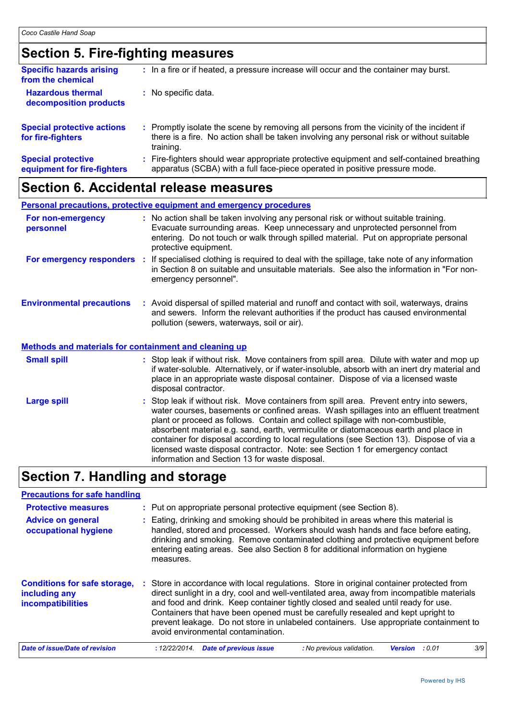## **Section 5. Fire-fighting measures**

| <b>Specific hazards arising</b><br>from the chemical     |    | : In a fire or if heated, a pressure increase will occur and the container may burst.                                                                                                               |
|----------------------------------------------------------|----|-----------------------------------------------------------------------------------------------------------------------------------------------------------------------------------------------------|
| <b>Hazardous thermal</b><br>decomposition products       |    | : No specific data.                                                                                                                                                                                 |
| <b>Special protective actions</b><br>for fire-fighters   |    | : Promptly isolate the scene by removing all persons from the vicinity of the incident if<br>there is a fire. No action shall be taken involving any personal risk or without suitable<br>training. |
| <b>Special protective</b><br>equipment for fire-fighters | ÷. | Fire-fighters should wear appropriate protective equipment and self-contained breathing<br>apparatus (SCBA) with a full face-piece operated in positive pressure mode.                              |

## **Section 6. Accidental release measures**

|                                                                                                  |    | <b>Personal precautions, protective equipment and emergency procedures</b>                                                                                                                                                                                                                                                                                                                                                                                                                                                               |
|--------------------------------------------------------------------------------------------------|----|------------------------------------------------------------------------------------------------------------------------------------------------------------------------------------------------------------------------------------------------------------------------------------------------------------------------------------------------------------------------------------------------------------------------------------------------------------------------------------------------------------------------------------------|
| For non-emergency<br>personnel                                                                   |    | : No action shall be taken involving any personal risk or without suitable training.<br>Evacuate surrounding areas. Keep unnecessary and unprotected personnel from<br>entering. Do not touch or walk through spilled material. Put on appropriate personal<br>protective equipment.                                                                                                                                                                                                                                                     |
| For emergency responders                                                                         | ÷. | If specialised clothing is required to deal with the spillage, take note of any information<br>in Section 8 on suitable and unsuitable materials. See also the information in "For non-<br>emergency personnel".                                                                                                                                                                                                                                                                                                                         |
| <b>Environmental precautions</b><br><b>Methods and materials for containment and cleaning up</b> |    | : Avoid dispersal of spilled material and runoff and contact with soil, waterways, drains<br>and sewers. Inform the relevant authorities if the product has caused environmental<br>pollution (sewers, waterways, soil or air).                                                                                                                                                                                                                                                                                                          |
|                                                                                                  |    |                                                                                                                                                                                                                                                                                                                                                                                                                                                                                                                                          |
| <b>Small spill</b>                                                                               |    | : Stop leak if without risk. Move containers from spill area. Dilute with water and mop up<br>if water-soluble. Alternatively, or if water-insoluble, absorb with an inert dry material and<br>place in an appropriate waste disposal container. Dispose of via a licensed waste<br>disposal contractor.                                                                                                                                                                                                                                 |
| <b>Large spill</b>                                                                               |    | : Stop leak if without risk. Move containers from spill area. Prevent entry into sewers,<br>water courses, basements or confined areas. Wash spillages into an effluent treatment<br>plant or proceed as follows. Contain and collect spillage with non-combustible,<br>absorbent material e.g. sand, earth, vermiculite or diatomaceous earth and place in<br>container for disposal according to local regulations (see Section 13). Dispose of via a<br>licensed waste disposal contractor. Note: see Section 1 for emergency contact |

## **Section 7. Handling and storage**

| <b>Precautions for safe handling</b>                                             |                                                                                                                                                                                                                                                                                                                                                                                                                                                                                            |
|----------------------------------------------------------------------------------|--------------------------------------------------------------------------------------------------------------------------------------------------------------------------------------------------------------------------------------------------------------------------------------------------------------------------------------------------------------------------------------------------------------------------------------------------------------------------------------------|
| <b>Protective measures</b>                                                       | : Put on appropriate personal protective equipment (see Section 8).                                                                                                                                                                                                                                                                                                                                                                                                                        |
| <b>Advice on general</b><br>occupational hygiene                                 | : Eating, drinking and smoking should be prohibited in areas where this material is<br>handled, stored and processed. Workers should wash hands and face before eating,<br>drinking and smoking. Remove contaminated clothing and protective equipment before<br>entering eating areas. See also Section 8 for additional information on hygiene<br>measures.                                                                                                                              |
| <b>Conditions for safe storage,</b><br>including any<br><b>incompatibilities</b> | Store in accordance with local regulations. Store in original container protected from<br>direct sunlight in a dry, cool and well-ventilated area, away from incompatible materials<br>and food and drink. Keep container tightly closed and sealed until ready for use.<br>Containers that have been opened must be carefully resealed and kept upright to<br>prevent leakage. Do not store in unlabeled containers. Use appropriate containment to<br>avoid environmental contamination. |
| Date of issue/Date of revision                                                   | 3/9<br>: 12/22/2014.<br><b>Date of previous issue</b><br>: No previous validation.<br>: 0.01<br><b>Version</b>                                                                                                                                                                                                                                                                                                                                                                             |

information and Section 13 for waste disposal.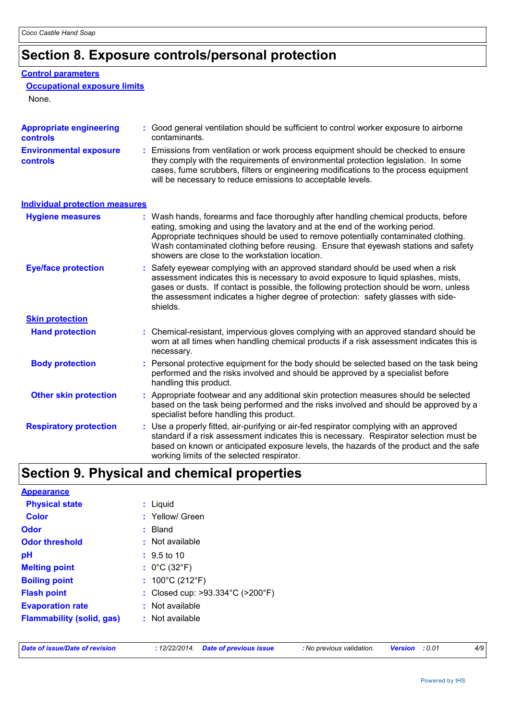## **Section 8. Exposure controls/personal protection**

#### **Control parameters**

### **Occupational exposure limits**

None.

| <b>Appropriate engineering</b><br>controls       | : Good general ventilation should be sufficient to control worker exposure to airborne<br>contaminants.                                                                                                                                                                                                                                                                                           |
|--------------------------------------------------|---------------------------------------------------------------------------------------------------------------------------------------------------------------------------------------------------------------------------------------------------------------------------------------------------------------------------------------------------------------------------------------------------|
| <b>Environmental exposure</b><br><b>controls</b> | : Emissions from ventilation or work process equipment should be checked to ensure<br>they comply with the requirements of environmental protection legislation. In some<br>cases, fume scrubbers, filters or engineering modifications to the process equipment<br>will be necessary to reduce emissions to acceptable levels.                                                                   |
| <b>Individual protection measures</b>            |                                                                                                                                                                                                                                                                                                                                                                                                   |
| <b>Hygiene measures</b>                          | : Wash hands, forearms and face thoroughly after handling chemical products, before<br>eating, smoking and using the lavatory and at the end of the working period.<br>Appropriate techniques should be used to remove potentially contaminated clothing.<br>Wash contaminated clothing before reusing. Ensure that eyewash stations and safety<br>showers are close to the workstation location. |
| <b>Eye/face protection</b>                       | : Safety eyewear complying with an approved standard should be used when a risk<br>assessment indicates this is necessary to avoid exposure to liquid splashes, mists,<br>gases or dusts. If contact is possible, the following protection should be worn, unless<br>the assessment indicates a higher degree of protection: safety glasses with side-<br>shields.                                |
| <b>Skin protection</b>                           |                                                                                                                                                                                                                                                                                                                                                                                                   |
| <b>Hand protection</b>                           | : Chemical-resistant, impervious gloves complying with an approved standard should be<br>worn at all times when handling chemical products if a risk assessment indicates this is<br>necessary.                                                                                                                                                                                                   |
| <b>Body protection</b>                           | : Personal protective equipment for the body should be selected based on the task being<br>performed and the risks involved and should be approved by a specialist before<br>handling this product.                                                                                                                                                                                               |
| <b>Other skin protection</b>                     | : Appropriate footwear and any additional skin protection measures should be selected<br>based on the task being performed and the risks involved and should be approved by a<br>specialist before handling this product.                                                                                                                                                                         |
| <b>Respiratory protection</b>                    | : Use a properly fitted, air-purifying or air-fed respirator complying with an approved<br>standard if a risk assessment indicates this is necessary. Respirator selection must be<br>based on known or anticipated exposure levels, the hazards of the product and the safe<br>working limits of the selected respirator.                                                                        |

## **Section 9. Physical and chemical properties**

| <b>Appearance</b>                |                                                       |
|----------------------------------|-------------------------------------------------------|
| <b>Physical state</b>            | : Liquid                                              |
| <b>Color</b>                     | : Yellow/ Green                                       |
| <b>Odor</b>                      | $:$ Bland                                             |
| <b>Odor threshold</b>            | $\cdot$ Not available                                 |
| рH                               | $: 9.5 \text{ to } 10$                                |
| <b>Melting point</b>             | : $0^{\circ}$ C (32 $^{\circ}$ F)                     |
| <b>Boiling point</b>             | : $100^{\circ}$ C (212 $^{\circ}$ F)                  |
| <b>Flash point</b>               | : Closed cup: $>93.334^{\circ}$ C ( $>200^{\circ}$ F) |
| <b>Evaporation rate</b>          | $:$ Not available                                     |
| <b>Flammability (solid, gas)</b> | $:$ Not available                                     |

|  |  | Date of issue/Date of revision |
|--|--|--------------------------------|
|  |  |                                |

*Date of issue/Date of revision* **:** *12/22/2014. Date of previous issue : No previous validation. Version : 0.01 4/9*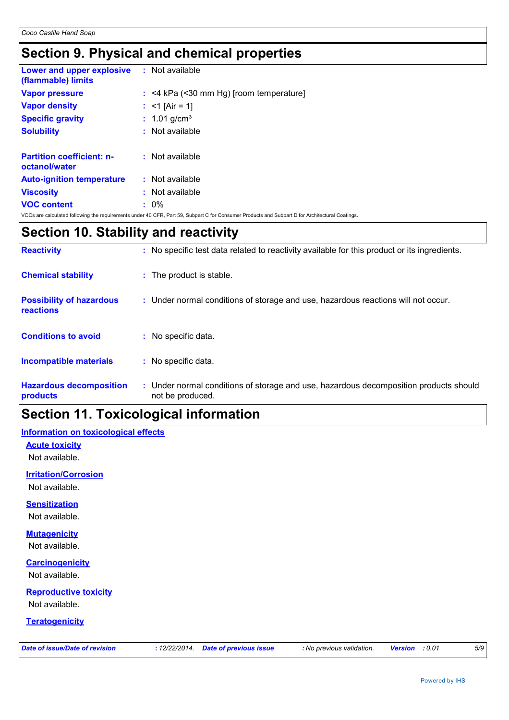## **Section 9. Physical and chemical properties**

| <b>Lower and upper explosive : Not available</b><br>(flammable) limits |                                                                                                                                                |
|------------------------------------------------------------------------|------------------------------------------------------------------------------------------------------------------------------------------------|
| <b>Vapor pressure</b>                                                  | $:$ <4 kPa (<30 mm Hg) [room temperature]                                                                                                      |
| <b>Vapor density</b>                                                   | : $<$ 1 [Air = 1]                                                                                                                              |
| <b>Specific gravity</b>                                                | : $1.01$ g/cm <sup>3</sup>                                                                                                                     |
| <b>Solubility</b>                                                      | $:$ Not available                                                                                                                              |
|                                                                        |                                                                                                                                                |
| <b>Partition coefficient: n-</b><br>octanol/water                      | $:$ Not available                                                                                                                              |
| <b>Auto-ignition temperature</b>                                       | $:$ Not available                                                                                                                              |
| <b>Viscosity</b>                                                       | $:$ Not available                                                                                                                              |
| <b>VOC content</b>                                                     | $: 0\%$                                                                                                                                        |
|                                                                        | VOCs are calculated following the requirements under 40 CFR, Part 59, Subpart C for Consumer Products and Subpart D for Architectural Coatings |

## **Section 10. Stability and reactivity**

| <b>Reactivity</b>                                   | : No specific test data related to reactivity available for this product or its ingredients.              |
|-----------------------------------------------------|-----------------------------------------------------------------------------------------------------------|
| <b>Chemical stability</b>                           | : The product is stable.                                                                                  |
| <b>Possibility of hazardous</b><br><b>reactions</b> | : Under normal conditions of storage and use, hazardous reactions will not occur.                         |
| <b>Conditions to avoid</b>                          | : No specific data.                                                                                       |
| <b>Incompatible materials</b>                       | : No specific data.                                                                                       |
| <b>Hazardous decomposition</b><br>products          | : Under normal conditions of storage and use, hazardous decomposition products should<br>not be produced. |

## **Section 11. Toxicological information**

### **Information on toxicological effects**

**Acute toxicity** Not available.

**Irritation/Corrosion**

Not available.

### **Sensitization**

Not available.

### **Mutagenicity**

Not available.

### **Carcinogenicity**

Not available.

## **Reproductive toxicity**

Not available.

### **Teratogenicity**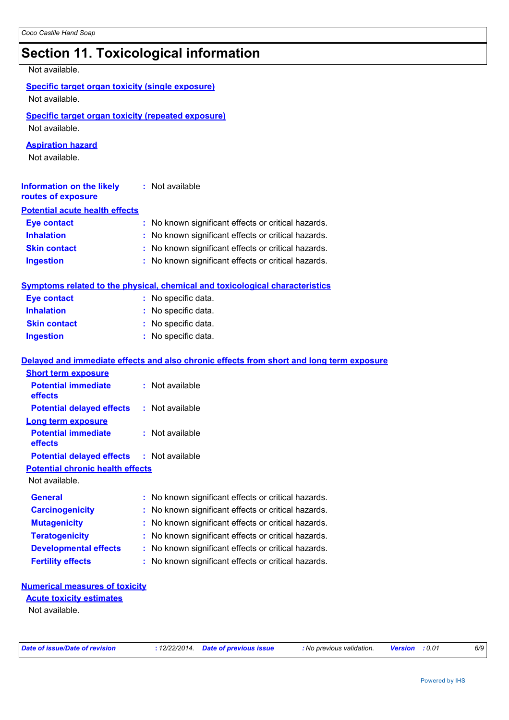## **Section 11. Toxicological information**

| Not available.                                                              |                                                                                          |  |  |  |
|-----------------------------------------------------------------------------|------------------------------------------------------------------------------------------|--|--|--|
|                                                                             |                                                                                          |  |  |  |
| <b>Specific target organ toxicity (single exposure)</b><br>Not available.   |                                                                                          |  |  |  |
|                                                                             |                                                                                          |  |  |  |
| <b>Specific target organ toxicity (repeated exposure)</b><br>Not available. |                                                                                          |  |  |  |
|                                                                             |                                                                                          |  |  |  |
| <b>Aspiration hazard</b><br>Not available.                                  |                                                                                          |  |  |  |
|                                                                             |                                                                                          |  |  |  |
| <b>Information on the likely</b>                                            | : Not available                                                                          |  |  |  |
| routes of exposure                                                          |                                                                                          |  |  |  |
| <b>Potential acute health effects</b>                                       |                                                                                          |  |  |  |
| <b>Eye contact</b>                                                          | : No known significant effects or critical hazards.                                      |  |  |  |
| <b>Inhalation</b>                                                           | : No known significant effects or critical hazards.                                      |  |  |  |
| <b>Skin contact</b>                                                         | : No known significant effects or critical hazards.                                      |  |  |  |
| <b>Ingestion</b>                                                            | : No known significant effects or critical hazards.                                      |  |  |  |
|                                                                             | <b>Symptoms related to the physical, chemical and toxicological characteristics</b>      |  |  |  |
| <b>Eye contact</b>                                                          | : No specific data.                                                                      |  |  |  |
| <b>Inhalation</b>                                                           | : No specific data.                                                                      |  |  |  |
| <b>Skin contact</b>                                                         | : No specific data.                                                                      |  |  |  |
| <b>Ingestion</b>                                                            | : No specific data.                                                                      |  |  |  |
|                                                                             |                                                                                          |  |  |  |
|                                                                             | Delayed and immediate effects and also chronic effects from short and long term exposure |  |  |  |
| <b>Short term exposure</b>                                                  |                                                                                          |  |  |  |
| <b>Potential immediate</b>                                                  | : Not available                                                                          |  |  |  |
| effects                                                                     |                                                                                          |  |  |  |
| <b>Potential delayed effects</b>                                            | : Not available                                                                          |  |  |  |
| <b>Long term exposure</b>                                                   |                                                                                          |  |  |  |
| <b>Potential immediate</b><br>effects                                       | : Not available                                                                          |  |  |  |
| <b>Potential delayed effects</b>                                            | : Not available                                                                          |  |  |  |
| <b>Potential chronic health effects</b>                                     |                                                                                          |  |  |  |
| Not available.                                                              |                                                                                          |  |  |  |
| <b>General</b>                                                              | No known significant effects or critical hazards.                                        |  |  |  |
| <b>Carcinogenicity</b>                                                      | No known significant effects or critical hazards.                                        |  |  |  |
| <b>Mutagenicity</b>                                                         | No known significant effects or critical hazards.                                        |  |  |  |
| <b>Teratogenicity</b>                                                       | No known significant effects or critical hazards.                                        |  |  |  |
| <b>Developmental effects</b>                                                | No known significant effects or critical hazards.                                        |  |  |  |
| <b>Fertility effects</b>                                                    | : No known significant effects or critical hazards.                                      |  |  |  |
|                                                                             |                                                                                          |  |  |  |

#### **Numerical measures of toxicity**

Not available. **Acute toxicity estimates**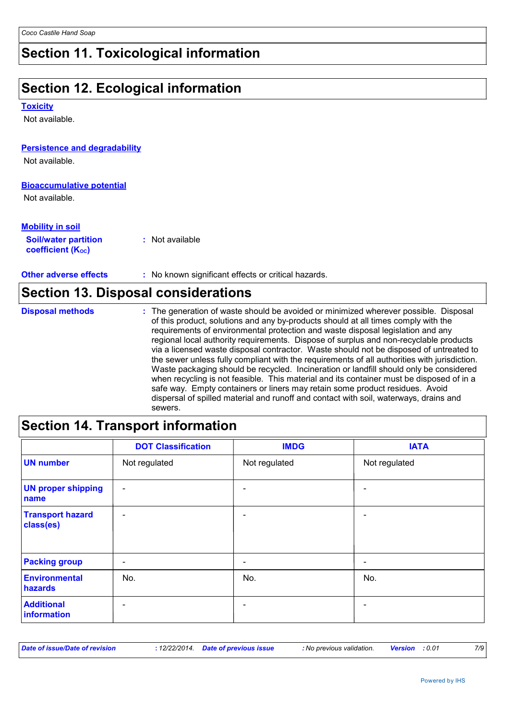## **Section 11. Toxicological information**

## **Section 12. Ecological information**

#### **Toxicity**

Not available.

### **Persistence and degradability**

Not available.

### **Bioaccumulative potential**

Not available.

г

| <b>Mobility in soil</b>                               |                 |  |
|-------------------------------------------------------|-----------------|--|
| <b>Soil/water partition</b><br>coefficient $(K_{oc})$ | : Not available |  |

**Other adverse effects** : No known significant effects or critical hazards.

| <b>Section 13. Disposal considerations</b> |                                                                                                                                                                                                                                                                                                                                                                                                                                                                                                                                                                                                                                                                                                                                                                                                                                                                                                                            |  |
|--------------------------------------------|----------------------------------------------------------------------------------------------------------------------------------------------------------------------------------------------------------------------------------------------------------------------------------------------------------------------------------------------------------------------------------------------------------------------------------------------------------------------------------------------------------------------------------------------------------------------------------------------------------------------------------------------------------------------------------------------------------------------------------------------------------------------------------------------------------------------------------------------------------------------------------------------------------------------------|--|
| <b>Disposal methods</b>                    | : The generation of waste should be avoided or minimized wherever possible. Disposal<br>of this product, solutions and any by-products should at all times comply with the<br>requirements of environmental protection and waste disposal legislation and any<br>regional local authority requirements. Dispose of surplus and non-recyclable products<br>via a licensed waste disposal contractor. Waste should not be disposed of untreated to<br>the sewer unless fully compliant with the requirements of all authorities with jurisdiction.<br>Waste packaging should be recycled. Incineration or landfill should only be considered<br>when recycling is not feasible. This material and its container must be disposed of in a<br>safe way. Empty containers or liners may retain some product residues. Avoid<br>dispersal of spilled material and runoff and contact with soil, waterways, drains and<br>sewers. |  |

## **Section 14. Transport information**

|                                      | <b>DOT Classification</b> | <b>IMDG</b>   | <b>IATA</b>                  |
|--------------------------------------|---------------------------|---------------|------------------------------|
| <b>UN number</b>                     | Not regulated             | Not regulated | Not regulated                |
| <b>UN proper shipping</b><br>name    | $\overline{\phantom{a}}$  |               | $\blacksquare$               |
| <b>Transport hazard</b><br>class(es) | $\overline{\phantom{a}}$  |               | -                            |
| <b>Packing group</b>                 | $\overline{\phantom{a}}$  |               | $\qquad \qquad \blacksquare$ |
| Environmental<br>hazards             | No.                       | No.           | No.                          |
| <b>Additional</b><br>information     | $\overline{\phantom{0}}$  |               | $\blacksquare$               |

| Date of issue/Date of revision | : 12/22/2014 Date of previous issue | : No previous validation. | <b>Version</b> : 0.01 |  |
|--------------------------------|-------------------------------------|---------------------------|-----------------------|--|
|--------------------------------|-------------------------------------|---------------------------|-----------------------|--|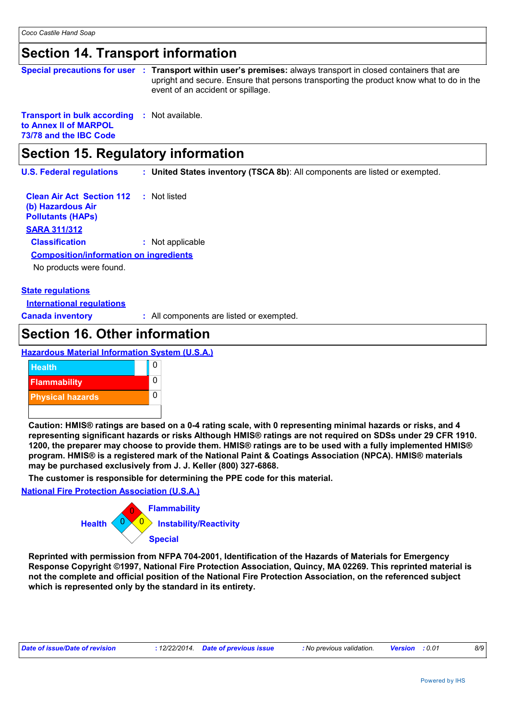### **Section 14. Transport information**

| Special precautions for user : Transport within user's premises: always transport in closed containers that are<br>upright and secure. Ensure that persons transporting the product know what to do in the<br>event of an accident or spillage. |
|-------------------------------------------------------------------------------------------------------------------------------------------------------------------------------------------------------------------------------------------------|
|                                                                                                                                                                                                                                                 |

#### **Transport in bulk according :** Not available. **to Annex II of MARPOL 73/78 and the IBC Code**

### **Section 15. Regulatory information**

**U.S. Federal regulations : United States inventory (TSCA 8b)**: All components are listed or exempted.

**Clean Air Act Section 112 (b) Hazardous Air Pollutants (HAPs) :** Not listed **SARA 311/312 Classification :** Not applicable No products were found. **Composition/information on ingredients**

### **State regulations**

**International regulations**

**Canada inventory :** All components are listed or exempted.

### **Section 16. Other information**

#### **Hazardous Material Information System (U.S.A.)**



**Caution: HMIS® ratings are based on a 0-4 rating scale, with 0 representing minimal hazards or risks, and 4 representing significant hazards or risks Although HMIS® ratings are not required on SDSs under 29 CFR 1910. 1200, the preparer may choose to provide them. HMIS® ratings are to be used with a fully implemented HMIS® program. HMIS® is a registered mark of the National Paint & Coatings Association (NPCA). HMIS® materials may be purchased exclusively from J. J. Keller (800) 327-6868.**

**The customer is responsible for determining the PPE code for this material.**

**National Fire Protection Association (U.S.A.)**



**Reprinted with permission from NFPA 704-2001, Identification of the Hazards of Materials for Emergency Response Copyright ©1997, National Fire Protection Association, Quincy, MA 02269. This reprinted material is not the complete and official position of the National Fire Protection Association, on the referenced subject which is represented only by the standard in its entirety.**

| Date of issue/Date of revision |  | : 12/22/2014 Date of previous issue | : No previous validation. | <b>Version</b> : 0.01 |  | 8/9 |
|--------------------------------|--|-------------------------------------|---------------------------|-----------------------|--|-----|
|--------------------------------|--|-------------------------------------|---------------------------|-----------------------|--|-----|